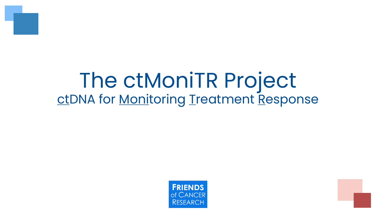

## The ctMoniTR Project ctDNA for Monitoring Treatment Response

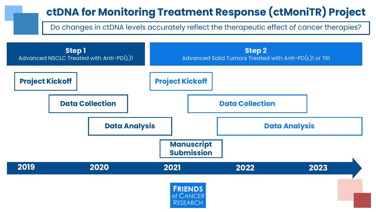### **ctDNA for Monitoring Treatment Response (ctMoniTR) Project**

Do changes in ctDNA levels accurately reflect the therapeutic effect of cancer therapies?

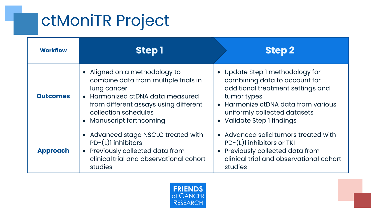### ctMoniTR Project

| <b>Workflow</b> | <b>Step1</b>                                                                                                                                                                                                          | <b>Step 2</b>                                                                                                                                                                                                             |
|-----------------|-----------------------------------------------------------------------------------------------------------------------------------------------------------------------------------------------------------------------|---------------------------------------------------------------------------------------------------------------------------------------------------------------------------------------------------------------------------|
| <b>Outcomes</b> | • Aligned on a methodology to<br>combine data from multiple trials in<br>lung cancer<br>• Harmonized ctDNA data measured<br>from different assays using different<br>collection schedules<br>• Manuscript forthcoming | • Update Step I methodology for<br>combining data to account for<br>additional treatment settings and<br>tumor types<br>• Harmonize ctDNA data from various<br>uniformly collected datasets<br>• Validate Step I findings |
| <b>Approach</b> | Advanced stage NSCLC treated with<br>PD-(L)1 inhibitors<br>Previously collected data from<br>$\bullet$<br>clinical trial and observational cohort<br>studies                                                          | • Advanced solid tumors treated with<br>PD-(L)1 inhibitors or TKI<br>Previously collected data from<br>$\bullet$<br>clinical trial and observational cohort<br>studies                                                    |

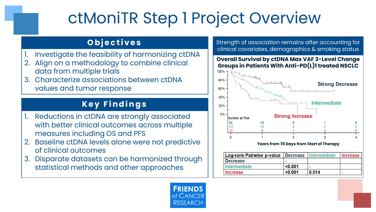### ctMoniTR Step 1 Project Overview

#### **O b j e c t i v e s**

- Investigate the feasibility of harmonizing ctDNA
- Align on a methodology to combine clinical data from multiple trials
- 3. Characterize associations between ctDNA values and tumor response

### **K e y F i n d i n g s**

- Reductions in ctDNA are strongly associated with better clinical outcomes across multiple measures including OS and PFS
- 2. Baseline ctDNA levels alone were not predictive of clinical outcomes
- 3. Disparate datasets can be harmonized through statistical methods and other approaches

Strength of association remains after accounting for clinical covariates, demographics & smoking status

#### **Overall Survival by ctDNA Max VAF 3-Level Change Groups in Patients With Anti-PD(L)1 treated NSCLC**



**Years from 70 Days from Start of Therapy**

| Log-rank Pairwise p-value   Decrease   Intermediate |         |       | <b>Increase</b> |
|-----------------------------------------------------|---------|-------|-----------------|
| <b>Decrease</b>                                     |         |       |                 |
| <b>Intermediate</b>                                 | < 0.001 |       |                 |
| <b>Increase</b>                                     | < 0.001 | 0.014 |                 |